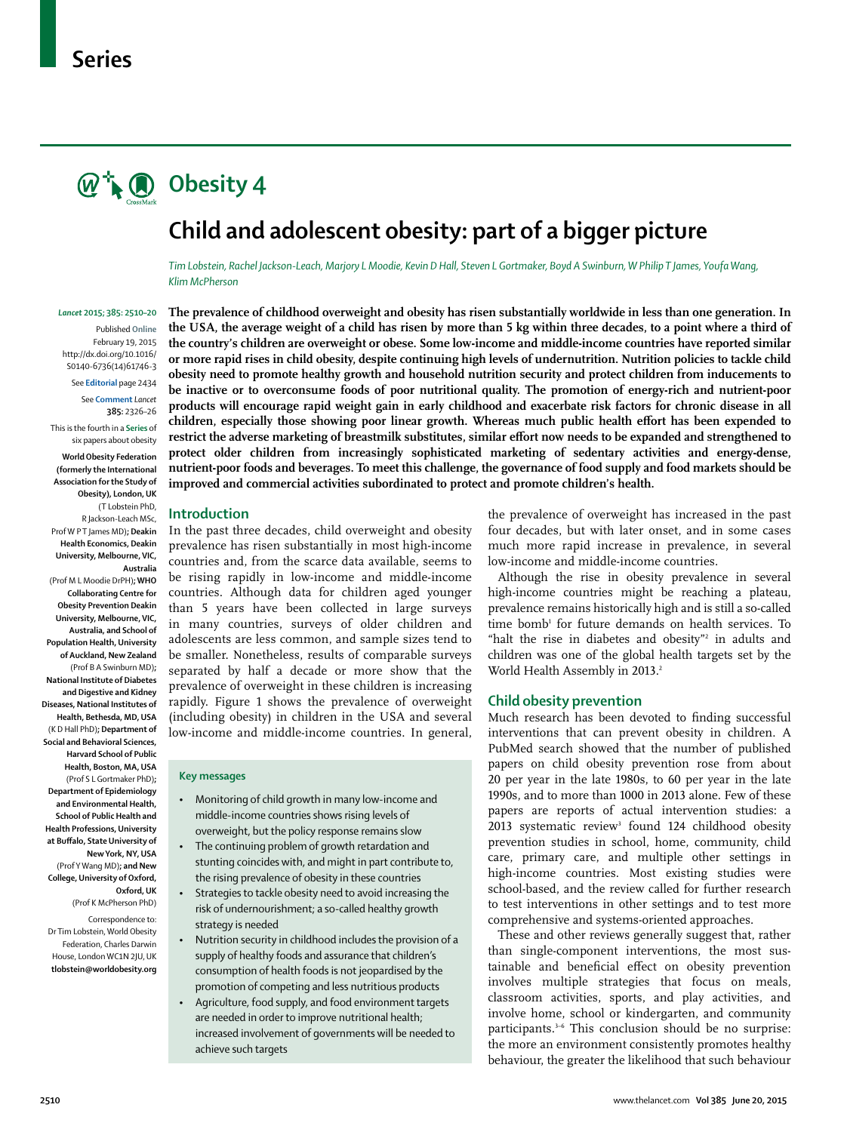# $\mathbb{Q}^+$  **O** Obesity 4

## **Child and adolescent obesity: part of a bigger picture**

*Tim Lobstein, Rachel Jackson-Leach, Marjory L Moodie, Kevin D Hall, Steven L Gortmaker, Boyd A Swinburn, W Philip T James, Youfa Wang, Klim McPherson*

#### *Lancet* **2015; 385: 2510–20**

Published **Online** February 19, 2015 http://dx.doi.org/10.1016/ S0140-6736(14)61746-3 See **Editorial** page 2434

See **Comment** *Lancet*

**385:** 2326–26 This is the fourth in a **Series** of six papers about obesity **World Obesity Federation (formerly the International Association for the Study of Obesity), London, UK**  (T Lobstein PhD, R Jackson-Leach MSc, Prof W P T James MD)**; Deakin Health Economics, Deakin University, Melbourne, VIC, Australia**  (Prof M L Moodie DrPH)**; WHO Collaborating Centre for Obesity Prevention Deakin University, Melbourne, VIC,** 

**Australia, and School of Population Health, University of Auckland, New Zealand**  (Prof B A Swinburn MD)**; National Institute of Diabetes and Digestive and Kidney Diseases, National Institutes of Health, Bethesda, MD, USA**  (K D Hall PhD)**; Department of Social and Behavioral Sciences, Harvard School of Public Health, Boston, MA, USA**  (Prof S L Gortmaker PhD)**; Department of Epidemiology and Environmental Health, School of Public Health and Health Professions, University at Buff alo, State University of New York, NY, USA**  (Prof Y Wang MD)**; and New College, University of Oxford, Oxford, UK** 

Correspondence to: Dr Tim Lobstein, World Obesity Federation, Charles Darwin House, London WC1N 2JU, UK **tlobstein@worldobesity.org**

(Prof K McPherson PhD)

**The prevalence of childhood overweight and obesity has risen substantially worldwide in less than one generation. In the USA, the average weight of a child has risen by more than 5 kg within three decades, to a point where a third of the country's children are overweight or obese. Some low-income and middle-income countries have reported similar or more rapid rises in child obesity, despite continuing high levels of undernutrition. Nutrition policies to tackle child obesity need to promote healthy growth and household nutrition security and protect children from inducements to be inactive or to overconsume foods of poor nutritional quality. The promotion of energy-rich and nutrient-poor products will encourage rapid weight gain in early childhood and exacerbate risk factors for chronic disease in all**  children, especially those showing poor linear growth. Whereas much public health effort has been expended to restrict the adverse marketing of breastmilk substitutes, similar effort now needs to be expanded and strengthened to **protect older children from increasingly sophisticated marketing of sedentary activities and energy-dense, nutrient-poor foods and beverages. To meet this challenge, the governance of food supply and food markets should be improved and commercial activities subordinated to protect and promote children's health.**

#### **Introduction**

In the past three decades, child overweight and obesity prevalence has risen substantially in most high-income countries and, from the scarce data available, seems to be rising rapidly in low-income and middle-income countries. Although data for children aged younger than 5 years have been collected in large surveys in many countries, surveys of older children and adolescents are less common, and sample sizes tend to be smaller. Nonetheless, results of comparable surveys separated by half a decade or more show that the prevalence of overweight in these children is increasing rapidly. Figure 1 shows the prevalence of overweight (including obesity) in children in the USA and several low-income and middle-income countries. In general,

#### **Key messages**

- Monitoring of child growth in many low-income and middle-income countries shows rising levels of overweight, but the policy response remains slow
- The continuing problem of growth retardation and stunting coincides with, and might in part contribute to, the rising prevalence of obesity in these countries
- Strategies to tackle obesity need to avoid increasing the risk of undernourishment; a so-called healthy growth strategy is needed
- Nutrition security in childhood includes the provision of a supply of healthy foods and assurance that children's consumption of health foods is not jeopardised by the promotion of competing and less nutritious products
- Agriculture, food supply, and food environment targets are needed in order to improve nutritional health; increased involvement of governments will be needed to achieve such targets

the prevalence of overweight has increased in the past four decades, but with later onset, and in some cases much more rapid increase in prevalence, in several low-income and middle-income countries.

Although the rise in obesity prevalence in several high-income countries might be reaching a plateau, prevalence remains historically high and is still a so-called time bomb<sup>1</sup> for future demands on health services. To "halt the rise in diabetes and obesity"<sup>2</sup> in adults and children was one of the global health targets set by the World Health Assembly in 2013.<sup>2</sup>

#### **Child obesity prevention**

Much research has been devoted to finding successful interventions that can prevent obesity in children. A PubMed search showed that the number of published papers on child obesity prevention rose from about 20 per year in the late 1980s, to 60 per year in the late 1990s, and to more than 1000 in 2013 alone. Few of these papers are reports of actual intervention studies: a  $2013$  systematic review<sup>3</sup> found 124 childhood obesity prevention studies in school, home, community, child care, primary care, and multiple other settings in high-income countries. Most existing studies were school-based, and the review called for further research to test interventions in other settings and to test more comprehensive and systems-oriented approaches.

These and other reviews generally suggest that, rather than single-component interventions, the most sustainable and beneficial effect on obesity prevention involves multiple strategies that focus on meals, classroom activities, sports, and play activities, and involve home, school or kindergarten, and community participants.<sup>3-6</sup> This conclusion should be no surprise: the more an environment consistently promotes healthy behaviour, the greater the likelihood that such behaviour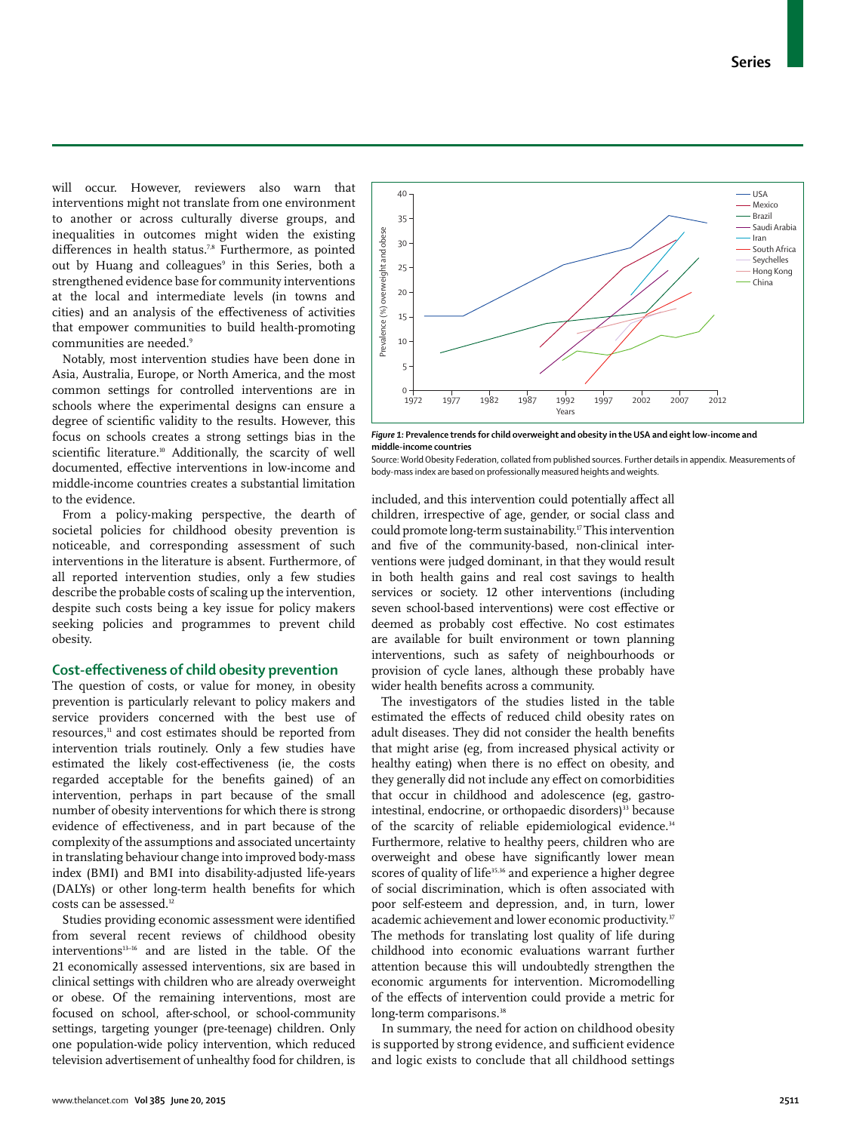will occur. However, reviewers also warn that interventions might not translate from one environment to another or across culturally diverse groups, and inequalities in outcomes might widen the existing differences in health status.<sup>7,8</sup> Furthermore, as pointed out by Huang and colleagues<sup>9</sup> in this Series, both a strengthened evidence base for community interventions at the local and intermediate levels (in towns and cities) and an analysis of the effectiveness of activities that empower communities to build health-promoting communities are needed.9

Notably, most intervention studies have been done in Asia, Australia, Europe, or North America, and the most common settings for controlled interventions are in schools where the experimental designs can ensure a degree of scientific validity to the results. However, this focus on schools creates a strong settings bias in the scientific literature.<sup>10</sup> Additionally, the scarcity of well documented, effective interventions in low-income and middle-income countries creates a substantial limitation to the evidence.

From a policy-making perspective, the dearth of societal policies for childhood obesity prevention is noticeable, and corresponding assessment of such interventions in the literature is absent. Furthermore, of all reported intervention studies, only a few studies describe the probable costs of scaling up the intervention, despite such costs being a key issue for policy makers seeking policies and programmes to prevent child obesity.

## **Cost-effectiveness of child obesity prevention**

The question of costs, or value for money, in obesity prevention is particularly relevant to policy makers and service providers concerned with the best use of resources,11 and cost estimates should be reported from intervention trials routinely. Only a few studies have estimated the likely cost-effectiveness (ie, the costs regarded acceptable for the benefits gained) of an intervention, perhaps in part because of the small number of obesity interventions for which there is strong evidence of effectiveness, and in part because of the complexity of the assumptions and associated uncertainty in translating behaviour change into improved body-mass index (BMI) and BMI into disability-adjusted life-years (DALYs) or other long-term health benefits for which costs can be assessed.<sup>12</sup>

Studies providing economic assessment were identified from several recent reviews of childhood obesity interventions13–16 and are listed in the table. Of the 21 economically assessed interventions, six are based in clinical settings with children who are already overweight or obese. Of the remaining interventions, most are focused on school, after-school, or school-community settings, targeting younger (pre-teenage) children. Only one population-wide policy intervention, which reduced television advertisement of unhealthy food for children, is



*Figure 1:* **Prevalence trends for child overweight and obesity in the USA and eight low-income and middle-income countries**

Source: World Obesity Federation, collated from published sources. Further details in appendix. Measurements of body-mass index are based on professionally measured heights and weights.

included, and this intervention could potentially affect all children, irrespective of age, gender, or social class and could promote long-term sustainability.17 This intervention and five of the community-based, non-clinical interventions were judged dominant, in that they would result in both health gains and real cost savings to health services or society. 12 other interventions (including seven school-based interventions) were cost effective or deemed as probably cost effective. No cost estimates are available for built environment or town planning interventions, such as safety of neighbourhoods or provision of cycle lanes, although these probably have wider health benefits across a community.

The investigators of the studies listed in the table estimated the effects of reduced child obesity rates on adult diseases. They did not consider the health benefits that might arise (eg, from increased physical activity or healthy eating) when there is no effect on obesity, and they generally did not include any effect on comorbidities that occur in childhood and adolescence (eg, gastrointestinal, endocrine, or orthopaedic disorders)<sup>33</sup> because of the scarcity of reliable epidemiological evidence.<sup>34</sup> Furthermore, relative to healthy peers, children who are overweight and obese have significantly lower mean scores of quality of life<sup>35,36</sup> and experience a higher degree of social discrimination, which is often associated with poor self-esteem and depression, and, in turn, lower academic achievement and lower economic productivity.<sup>37</sup> The methods for translating lost quality of life during childhood into economic evaluations warrant further attention because this will undoubtedly strengthen the economic arguments for intervention. Micromodelling of the effects of intervention could provide a metric for long-term comparisons.<sup>38</sup>

In summary, the need for action on childhood obesity is supported by strong evidence, and sufficient evidence and logic exists to conclude that all childhood settings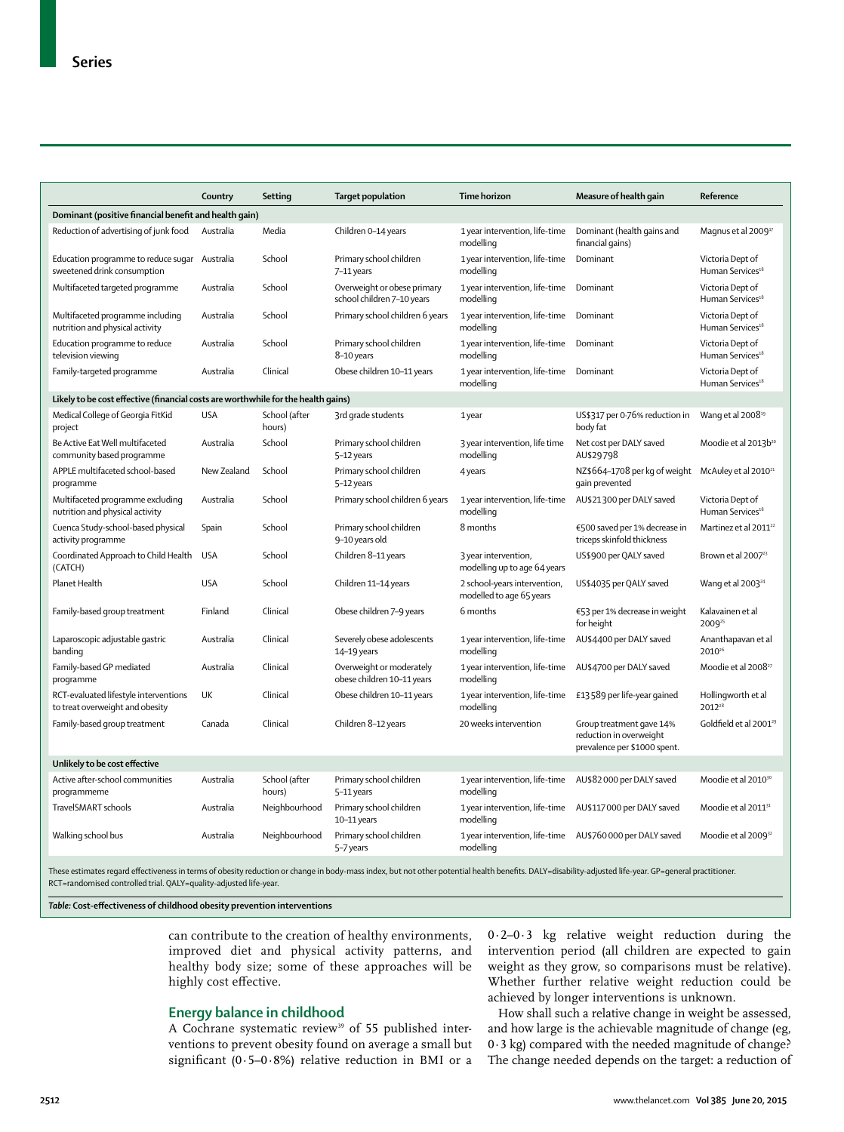|                                                                                   | Country     | Setting                 | <b>Target population</b>                                  | <b>Time horizon</b>                                                   | Measure of health gain                                                              | Reference                                        |
|-----------------------------------------------------------------------------------|-------------|-------------------------|-----------------------------------------------------------|-----------------------------------------------------------------------|-------------------------------------------------------------------------------------|--------------------------------------------------|
| Dominant (positive financial benefit and health gain)                             |             |                         |                                                           |                                                                       |                                                                                     |                                                  |
| Reduction of advertising of junk food                                             | Australia   | Media                   | Children 0-14 years                                       | 1 year intervention, life-time<br>modelling                           | Dominant (health gains and<br>financial gains)                                      | Magnus et al 2009 <sup>17</sup>                  |
| Education programme to reduce sugar Australia<br>sweetened drink consumption      |             | School                  | Primary school children<br>7-11 years                     | 1 year intervention, life-time<br>modelling                           | Dominant                                                                            | Victoria Dept of<br>Human Services <sup>18</sup> |
| Multifaceted targeted programme                                                   | Australia   | School                  | Overweight or obese primary<br>school children 7-10 years | 1 year intervention, life-time<br>modelling                           | Dominant                                                                            | Victoria Dept of<br>Human Services <sup>18</sup> |
| Multifaceted programme including<br>nutrition and physical activity               | Australia   | School                  | Primary school children 6 years                           | 1 year intervention, life-time<br>modelling                           | Dominant                                                                            | Victoria Dept of<br>Human Services <sup>18</sup> |
| Education programme to reduce<br>television viewing                               | Australia   | School                  | Primary school children<br>8-10 years                     | 1 year intervention, life-time<br>modelling                           | Dominant                                                                            | Victoria Dept of<br>Human Services <sup>18</sup> |
| Family-targeted programme                                                         | Australia   | Clinical                | Obese children 10-11 years                                | 1 year intervention, life-time<br>modelling                           | Dominant                                                                            | Victoria Dept of<br>Human Services <sup>18</sup> |
| Likely to be cost effective (financial costs are worthwhile for the health gains) |             |                         |                                                           |                                                                       |                                                                                     |                                                  |
| Medical College of Georgia FitKid<br>project                                      | <b>USA</b>  | School (after<br>hours) | 3rd grade students                                        | 1 year                                                                | US\$317 per 0.76% reduction in<br>body fat                                          | Wang et al 2008 <sup>19</sup>                    |
| Be Active Eat Well multifaceted<br>community based programme                      | Australia   | School                  | Primary school children<br>5-12 years                     | 3 year intervention, life time<br>modelling                           | Net cost per DALY saved<br>AU\$29798                                                | Moodie et al 2013b <sup>20</sup>                 |
| APPLE multifaceted school-based<br>programme                                      | New Zealand | School                  | Primary school children<br>5-12 years                     | 4 years                                                               | NZ\$664-1708 per kg of weight<br>gain prevented                                     | McAuley et al 2010 <sup>21</sup>                 |
| Multifaceted programme excluding<br>nutrition and physical activity               | Australia   | School                  | Primary school children 6 years                           | 1 year intervention, life-time<br>modelling                           | AU\$21300 per DALY saved                                                            | Victoria Dept of<br>Human Services <sup>18</sup> |
| Cuenca Study-school-based physical<br>activity programme                          | Spain       | School                  | Primary school children<br>9-10 years old                 | 8 months                                                              | €500 saved per 1% decrease in<br>triceps skinfold thickness                         | Martinez et al 2011 <sup>22</sup>                |
| Coordinated Approach to Child Health<br>(CATCH)                                   | <b>USA</b>  | School                  | Children 8-11 years                                       | 3 year intervention,<br>modelling up to age 64 years                  | US\$900 per QALY saved                                                              | Brown et al 2007 <sup>23</sup>                   |
| Planet Health                                                                     | <b>USA</b>  | School                  | Children 11-14 years                                      | 2 school-years intervention,<br>modelled to age 65 years              | US\$4035 per QALY saved                                                             | Wang et al 2003 <sup>24</sup>                    |
| Family-based group treatment                                                      | Finland     | Clinical                | Obese children 7-9 years                                  | 6 months                                                              | €53 per 1% decrease in weight<br>for height                                         | Kalavainen et al<br>2009 <sup>25</sup>           |
| Laparoscopic adjustable gastric<br>banding                                        | Australia   | Clinical                | Severely obese adolescents<br>14-19 years                 | 1 year intervention, life-time<br>modelling                           | AU\$4400 per DALY saved                                                             | Ananthapavan et al<br>2010 <sup>26</sup>         |
| Family-based GP mediated<br>programme                                             | Australia   | Clinical                | Overweight or moderately<br>obese children 10-11 years    | 1 year intervention, life-time<br>modelling                           | AU\$4700 per DALY saved                                                             | Moodie et al 2008 <sup>27</sup>                  |
| RCT-evaluated lifestyle interventions<br>to treat overweight and obesity          | UK          | Clinical                | Obese children 10-11 years                                | 1 year intervention, life-time<br>modelling                           | £13589 per life-year gained                                                         | Hollingworth et al<br>2012 <sup>28</sup>         |
| Family-based group treatment                                                      | Canada      | Clinical                | Children 8-12 years                                       | 20 weeks intervention                                                 | Group treatment gave 14%<br>reduction in overweight<br>prevalence per \$1000 spent. | Goldfield et al 2001 <sup>29</sup>               |
| Unlikely to be cost effective                                                     |             |                         |                                                           |                                                                       |                                                                                     |                                                  |
| Active after-school communities<br>programmeme                                    | Australia   | School (after<br>hours) | Primary school children<br>5-11 years                     | 1 year intervention, life-time<br>modelling                           | AU\$82000 per DALY saved                                                            | Moodie et al 2010 <sup>30</sup>                  |
| TravelSMART schools                                                               | Australia   | Neighbourhood           | Primary school children<br>10-11 years                    | 1 year intervention, life-time<br>modelling                           | AU\$117000 per DALY saved                                                           | Moodie et al 2011 <sup>31</sup>                  |
| Walking school bus                                                                | Australia   | Neighbourhood           | Primary school children<br>5-7 years                      | 1 year intervention, life-time AU\$760000 per DALY saved<br>modelling |                                                                                     | Moodie et al 2009 <sup>32</sup>                  |

RCT=randomised controlled trial. QALY=quality-adjusted life-year.

*Table:* **Cost-eff ectiveness of childhood obesity prevention interventions**

can contribute to the creation of healthy environments, improved diet and physical activity patterns, and healthy body size; some of these approaches will be highly cost effective.

## **Energy balance in childhood**

A Cochrane systematic review<sup>39</sup> of 55 published interventions to prevent obesity found on average a small but significant (0.5–0.8%) relative reduction in BMI or a 0·2–0·3 kg relative weight reduction during the intervention period (all children are expected to gain weight as they grow, so comparisons must be relative). Whether further relative weight reduction could be achieved by longer interventions is unknown.

How shall such a relative change in weight be assessed, and how large is the achievable magnitude of change (eg, 0·3 kg) compared with the needed magnitude of change? The change needed depends on the target: a reduction of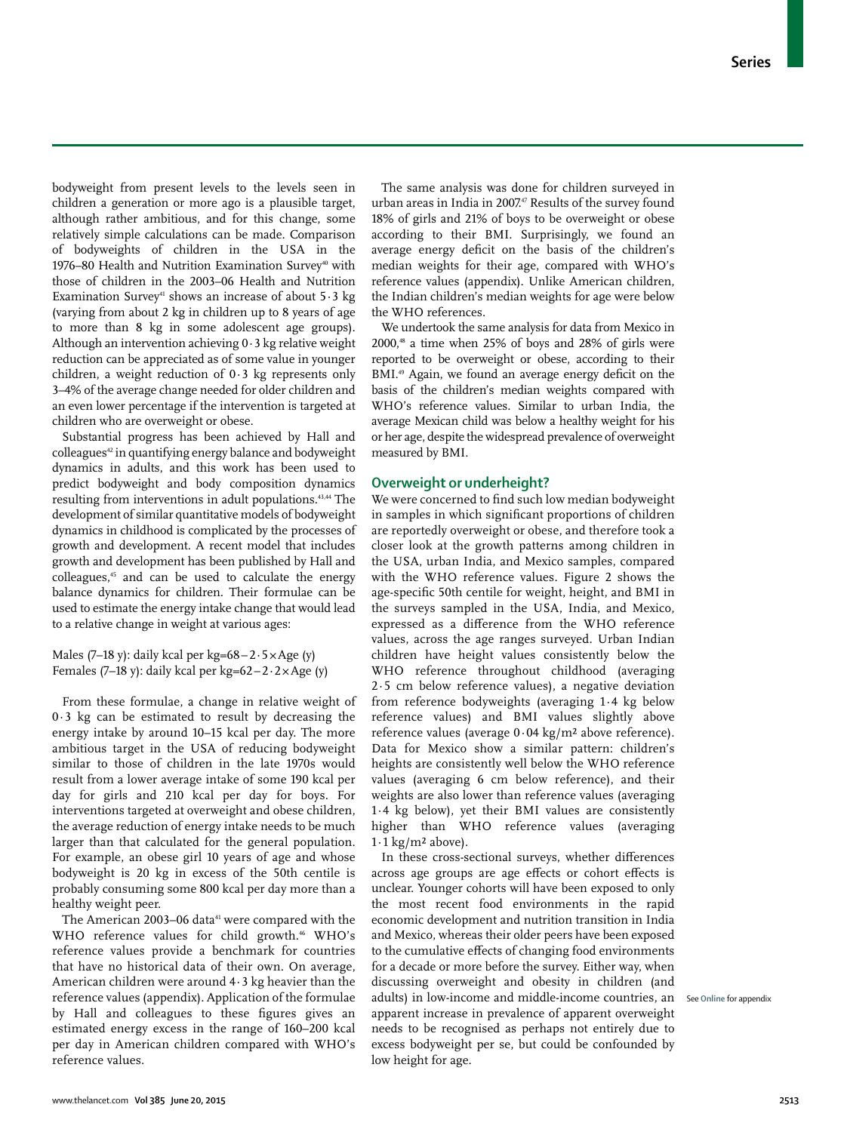bodyweight from present levels to the levels seen in children a generation or more ago is a plausible target, although rather ambitious, and for this change, some relatively simple calculations can be made. Comparison of bodyweights of children in the USA in the 1976–80 Health and Nutrition Examination Survey<sup>40</sup> with those of children in the 2003–06 Health and Nutrition Examination Survey<sup>41</sup> shows an increase of about  $5.3 \text{ kg}$ (varying from about 2 kg in children up to 8 years of age to more than 8 kg in some adolescent age groups). Although an intervention achieving 0·3 kg relative weight reduction can be appreciated as of some value in younger children, a weight reduction of 0·3 kg represents only 3–4% of the average change needed for older children and an even lower percentage if the intervention is targeted at children who are overweight or obese.

Substantial progress has been achieved by Hall and colleagues<sup>42</sup> in quantifying energy balance and bodyweight dynamics in adults, and this work has been used to predict bodyweight and body composition dynamics resulting from interventions in adult populations.43,44 The development of similar quantitative models of bodyweight dynamics in childhood is complicated by the processes of growth and development. A recent model that includes growth and development has been published by Hall and colleagues,45 and can be used to calculate the energy balance dynamics for children. Their formulae can be used to estimate the energy intake change that would lead to a relative change in weight at various ages:

Males (7–18 y): daily kcal per kg= $68-2.5 \times$ Age (y) Females (7–18 y): daily kcal per kg=62 –  $2 \times$  Age (y)

From these formulae, a change in relative weight of 0·3 kg can be estimated to result by decreasing the energy intake by around 10–15 kcal per day. The more ambitious target in the USA of reducing bodyweight similar to those of children in the late 1970s would result from a lower average intake of some 190 kcal per day for girls and 210 kcal per day for boys. For interventions targeted at overweight and obese children, the average reduction of energy intake needs to be much larger than that calculated for the general population. For example, an obese girl 10 years of age and whose bodyweight is 20 kg in excess of the 50th centile is probably consuming some 800 kcal per day more than a healthy weight peer.

The American 2003-06 data<sup>41</sup> were compared with the WHO reference values for child growth.<sup>46</sup> WHO's reference values provide a benchmark for countries that have no historical data of their own. On average, American children were around 4·3 kg heavier than the reference values (appendix). Application of the formulae by Hall and colleagues to these figures gives an estimated energy excess in the range of 160–200 kcal per day in American children compared with WHO's reference values.

The same analysis was done for children surveyed in urban areas in India in 2007.<sup>47</sup> Results of the survey found 18% of girls and 21% of boys to be overweight or obese according to their BMI. Surprisingly, we found an average energy deficit on the basis of the children's median weights for their age, compared with WHO's reference values (appendix). Unlike American children, the Indian children's median weights for age were below the WHO references.

We undertook the same analysis for data from Mexico in  $2000$ ,<sup>48</sup> a time when  $25\%$  of boys and  $28\%$  of girls were reported to be overweight or obese, according to their BMI.<sup>49</sup> Again, we found an average energy deficit on the basis of the children's median weights compared with WHO's reference values. Similar to urban India, the average Mexican child was below a healthy weight for his or her age, despite the widespread prevalence of overweight measured by BMI.

### **Overweight or underheight?**

We were concerned to find such low median bodyweight in samples in which significant proportions of children are reportedly overweight or obese, and therefore took a closer look at the growth patterns among children in the USA, urban India, and Mexico samples, compared with the WHO reference values. Figure 2 shows the age-specific 50th centile for weight, height, and BMI in the surveys sampled in the USA, India, and Mexico, expressed as a difference from the WHO reference values, across the age ranges surveyed. Urban Indian children have height values consistently below the WHO reference throughout childhood (averaging 2·5 cm below reference values), a negative deviation from reference bodyweights (averaging 1·4 kg below reference values) and BMI values slightly above reference values (average 0·04 kg/m² above reference). Data for Mexico show a similar pattern: children's heights are consistently well below the WHO reference values (averaging 6 cm below reference), and their weights are also lower than reference values (averaging 1·4 kg below), yet their BMI values are consistently higher than WHO reference values (averaging  $1.1 \text{ kg/m}^2$  above).

In these cross-sectional surveys, whether differences across age groups are age effects or cohort effects is unclear. Younger cohorts will have been exposed to only the most recent food environments in the rapid economic development and nutrition transition in India and Mexico, whereas their older peers have been exposed to the cumulative effects of changing food environments for a decade or more before the survey. Either way, when discussing overweight and obesity in children (and adults) in low-income and middle-income countries, an See **Online** for appendixapparent increase in prevalence of apparent overweight needs to be recognised as perhaps not entirely due to excess bodyweight per se, but could be confounded by low height for age.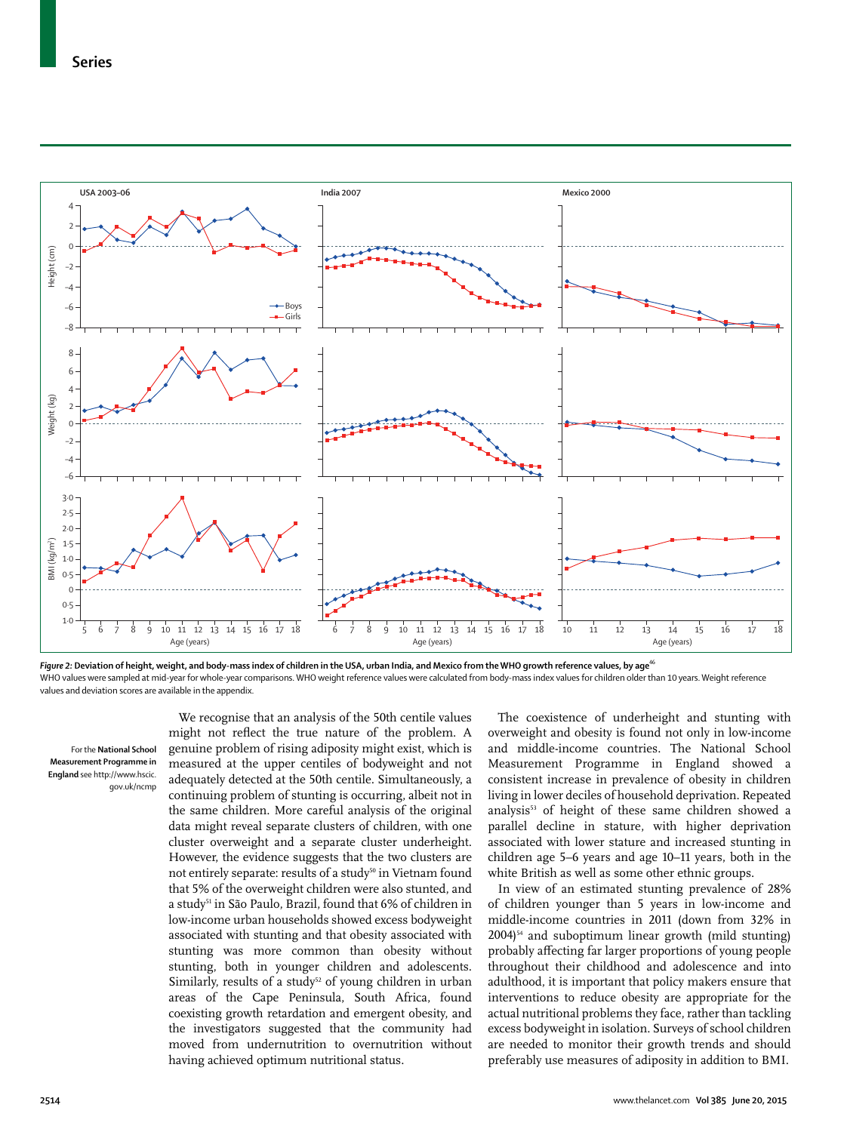

Figure 2: Deviation of height, weight, and body-mass index of children in the USA, urban India, and Mexico from the WHO growth reference values, by age<sup>46</sup> WHO values were sampled at mid-year for whole-year comparisons. WHO weight reference values were calculated from body-mass index values for children older than 10 years. Weight reference values and deviation scores are available in the appendix.

For the **National School Measurement Programme in England** see http://www.hscic. gov.uk/ncmp

We recognise that an analysis of the 50th centile values might not reflect the true nature of the problem. A genuine problem of rising adiposity might exist, which is measured at the upper centiles of bodyweight and not adequately detected at the 50th centile. Simultaneously, a continuing problem of stunting is occurring, albeit not in the same children. More careful analysis of the original data might reveal separate clusters of children, with one cluster overweight and a separate cluster underheight. However, the evidence suggests that the two clusters are not entirely separate: results of a study<sup>50</sup> in Vietnam found that 5% of the overweight children were also stunted, and a study<sup>51</sup> in São Paulo, Brazil, found that 6% of children in low-income urban households showed excess bodyweight associated with stunting and that obesity associated with stunting was more common than obesity without stunting, both in younger children and adolescents. Similarly, results of a study<sup>52</sup> of young children in urban areas of the Cape Peninsula, South Africa, found coexisting growth retardation and emergent obesity, and the investigators suggested that the community had moved from undernutrition to overnutrition without having achieved optimum nutritional status.

The coexistence of underheight and stunting with overweight and obesity is found not only in low-income and middle-income countries. The National School Measurement Programme in England showed a consistent increase in prevalence of obesity in children living in lower deciles of household deprivation. Repeated analysis<sup>53</sup> of height of these same children showed a parallel decline in stature, with higher deprivation associated with lower stature and increased stunting in children age 5–6 years and age 10–11 years, both in the white British as well as some other ethnic groups.

In view of an estimated stunting prevalence of 28% of children younger than 5 years in low-income and middle-income countries in 2011 (down from 32% in  $2004$ <sup>54</sup> and suboptimum linear growth (mild stunting) probably affecting far larger proportions of young people throughout their childhood and adolescence and into adulthood, it is important that policy makers ensure that interventions to reduce obesity are appropriate for the actual nutritional problems they face, rather than tackling excess bodyweight in isolation. Surveys of school children are needed to monitor their growth trends and should preferably use measures of adiposity in addition to BMI.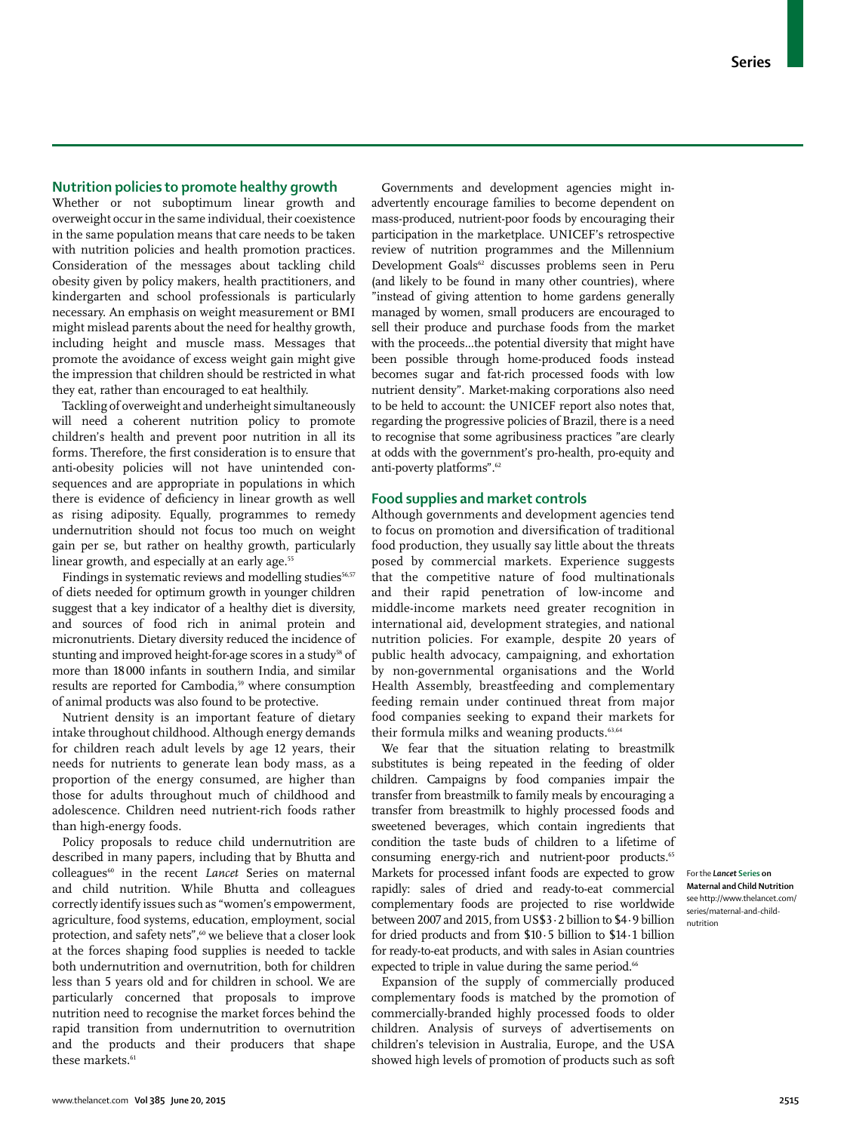## **Nutrition policies to promote healthy growth**

Whether or not suboptimum linear growth and overweight occur in the same individual, their coexistence in the same population means that care needs to be taken with nutrition policies and health promotion practices. Consideration of the messages about tackling child obesity given by policy makers, health practitioners, and kindergarten and school professionals is particularly necessary. An emphasis on weight measurement or BMI might mislead parents about the need for healthy growth, including height and muscle mass. Messages that promote the avoidance of excess weight gain might give the impression that children should be restricted in what they eat, rather than encouraged to eat healthily.

Tackling of overweight and underheight simultaneously will need a coherent nutrition policy to promote children's health and prevent poor nutrition in all its forms. Therefore, the first consideration is to ensure that anti-obesity policies will not have unintended consequences and are appropriate in populations in which there is evidence of deficiency in linear growth as well as rising adiposity. Equally, programmes to remedy undernutrition should not focus too much on weight gain per se, but rather on healthy growth, particularly linear growth, and especially at an early age.<sup>55</sup>

Findings in systematic reviews and modelling studies<sup>56,57</sup> of diets needed for optimum growth in younger children suggest that a key indicator of a healthy diet is diversity, and sources of food rich in animal protein and micronutrients. Dietary diversity reduced the incidence of stunting and improved height-for-age scores in a study<sup>58</sup> of more than 18 000 infants in southern India, and similar results are reported for Cambodia,<sup>59</sup> where consumption of animal products was also found to be protective.

Nutrient density is an important feature of dietary intake throughout childhood. Although energy demands for children reach adult levels by age 12 years, their needs for nutrients to generate lean body mass, as a proportion of the energy consumed, are higher than those for adults throughout much of childhood and adolescence. Children need nutrient-rich foods rather than high-energy foods.

Policy proposals to reduce child undernutrition are described in many papers, including that by Bhutta and colleagues<sup>60</sup> in the recent *Lancet* Series on maternal and child nutrition. While Bhutta and colleagues correctly identify issues such as "women's empowerment, agriculture, food systems, education, employment, social protection, and safety nets",<sup>60</sup> we believe that a closer look at the forces shaping food supplies is needed to tackle both undernutrition and overnutrition, both for children less than 5 years old and for children in school. We are particularly concerned that proposals to improve nutrition need to recognise the market forces behind the rapid transition from undernutrition to overnutrition and the products and their producers that shape these markets.<sup>61</sup>

Governments and development agencies might inadvertently encourage families to become dependent on mass-produced, nutrient-poor foods by encouraging their participation in the marketplace. UNICEF's retrospective review of nutrition programmes and the Millennium Development Goals<sup>62</sup> discusses problems seen in Peru (and likely to be found in many other countries), where "instead of giving attention to home gardens generally managed by women, small producers are encouraged to sell their produce and purchase foods from the market with the proceeds...the potential diversity that might have been possible through home-produced foods instead becomes sugar and fat-rich processed foods with low nutrient density". Market-making corporations also need to be held to account: the UNICEF report also notes that, regarding the progressive policies of Brazil, there is a need to recognise that some agribusiness practices "are clearly at odds with the government's pro-health, pro-equity and anti-poverty platforms".62

## **Food supplies and market controls**

Although governments and development agencies tend to focus on promotion and diversification of traditional food production, they usually say little about the threats posed by commercial markets. Experience suggests that the competitive nature of food multinationals and their rapid penetration of low-income and middle-income markets need greater recognition in international aid, development strategies, and national nutrition policies. For example, despite 20 years of public health advocacy, campaigning, and exhortation by non-governmental organisations and the World Health Assembly, breastfeeding and complementary feeding remain under continued threat from major food companies seeking to expand their markets for their formula milks and weaning products.<sup>63,64</sup>

We fear that the situation relating to breastmilk substitutes is being repeated in the feeding of older children. Campaigns by food companies impair the transfer from breastmilk to family meals by encouraging a transfer from breastmilk to highly processed foods and sweetened beverages, which contain ingredients that condition the taste buds of children to a lifetime of consuming energy-rich and nutrient-poor products.<sup>65</sup> Markets for processed infant foods are expected to grow rapidly: sales of dried and ready-to-eat commercial complementary foods are projected to rise worldwide between 2007 and 2015, from US\$3·2 billion to \$4·9 billion for dried products and from \$10·5 billion to \$14·1 billion for ready-to-eat products, and with sales in Asian countries expected to triple in value during the same period.<sup>66</sup>

Expansion of the supply of commercially produced complementary foods is matched by the promotion of commercially-branded highly processed foods to older children. Analysis of surveys of advertisements on children's television in Australia, Europe, and the USA showed high levels of promotion of products such as soft

For the *Lancet* **Series on Maternal and Child Nutrition** see http://www.thelancet.com/ series/maternal-and-childnutrition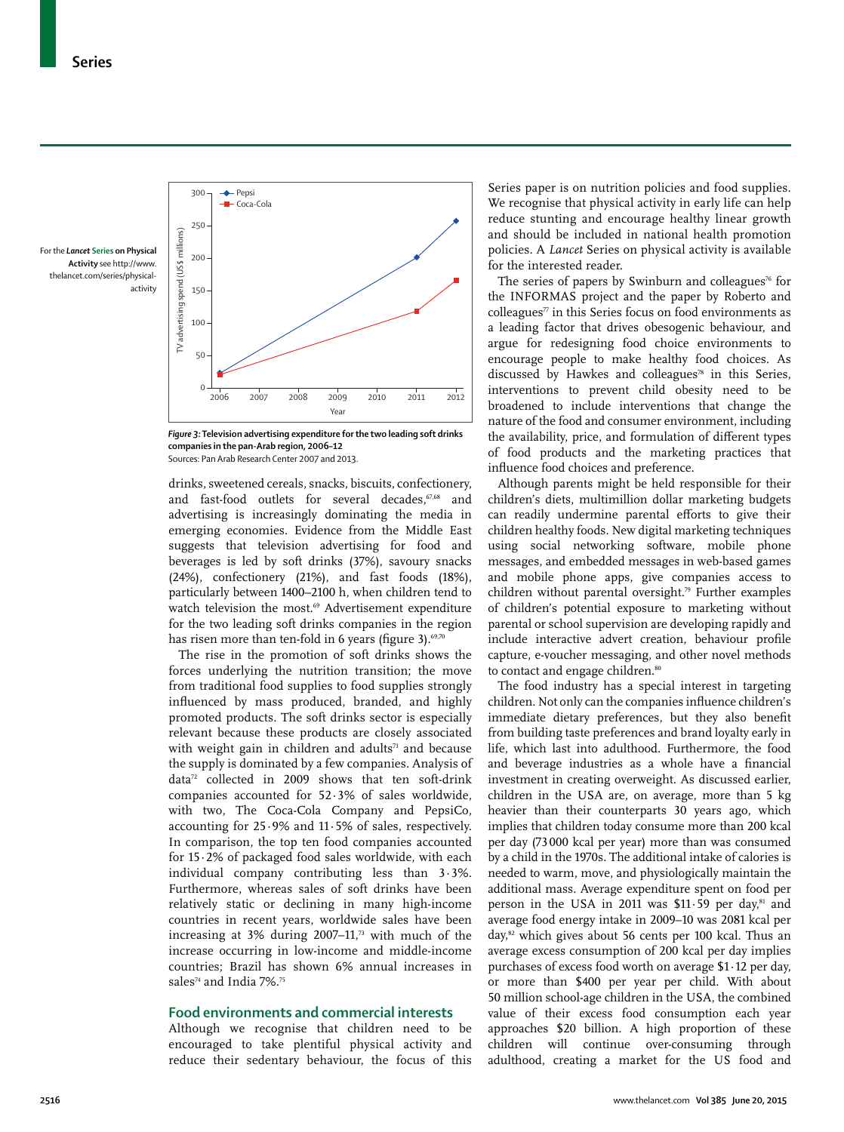For the *Lancet* **Series on Physical Activity** see http://www. thelancet.com/series/physicalactivity



*Figure 3:* **Television advertising expenditure for the two leading soft drinks companies in the pan-Arab region, 2006–12** Sources: Pan Arab Research Center 2007 and 2013.

drinks, sweetened cereals, snacks, biscuits, confectionery, and fast-food outlets for several decades,<sup>67,68</sup> and advertising is increasingly dominating the media in emerging economies. Evidence from the Middle East suggests that television advertising for food and beverages is led by soft drinks (37%), savoury snacks (24%), confectionery (21%), and fast foods (18%), particularly between 1400–2100 h, when children tend to watch television the most.<sup>69</sup> Advertisement expenditure for the two leading soft drinks companies in the region has risen more than ten-fold in 6 years (figure 3). $69,70$ 

The rise in the promotion of soft drinks shows the forces underlying the nutrition transition; the move from traditional food supplies to food supplies strongly influenced by mass produced, branded, and highly promoted products. The soft drinks sector is especially relevant because these products are closely associated with weight gain in children and adults $71$  and because the supply is dominated by a few companies. Analysis of data72 collected in 2009 shows that ten soft-drink companies accounted for 52·3% of sales worldwide, with two, The Coca-Cola Company and PepsiCo, accounting for 25·9% and 11·5% of sales, respectively. In comparison, the top ten food companies accounted for 15·2% of packaged food sales worldwide, with each individual company contributing less than 3·3%. Furthermore, whereas sales of soft drinks have been relatively static or declining in many high-income countries in recent years, worldwide sales have been increasing at  $3\%$  during  $2007-11$ ,<sup>73</sup> with much of the increase occurring in low-income and middle-income countries; Brazil has shown 6% annual increases in sales<sup>74</sup> and India 7%.<sup>75</sup>

### **Food environments and commercial interests**

Although we recognise that children need to be encouraged to take plentiful physical activity and reduce their sedentary behaviour, the focus of this

Series paper is on nutrition policies and food supplies. We recognise that physical activity in early life can help reduce stunting and encourage healthy linear growth and should be included in national health promotion policies. A *Lancet* Series on physical activity is available for the interested reader.

The series of papers by Swinburn and colleagues<sup>76</sup> for the INFORMAS project and the paper by Roberto and  $colle$ eagues $\pi$  in this Series focus on food environments as a leading factor that drives obesogenic behaviour, and argue for redesigning food choice environments to encourage people to make healthy food choices. As discussed by Hawkes and colleagues<sup>78</sup> in this Series, interventions to prevent child obesity need to be broadened to include interventions that change the nature of the food and consumer environment, including the availability, price, and formulation of different types of food products and the marketing practices that influence food choices and preference.

Although parents might be held responsible for their children's diets, multimillion dollar marketing budgets can readily undermine parental efforts to give their children healthy foods. New digital marketing techniques using social networking software, mobile phone messages, and embedded messages in web-based games and mobile phone apps, give companies access to children without parental oversight.<sup>79</sup> Further examples of children's potential exposure to marketing without parental or school supervision are developing rapidly and include interactive advert creation, behaviour profile capture, e-voucher messaging, and other novel methods to contact and engage children.<sup>80</sup>

The food industry has a special interest in targeting children. Not only can the companies influence children's immediate dietary preferences, but they also benefit from building taste preferences and brand loyalty early in life, which last into adulthood. Furthermore, the food and beverage industries as a whole have a financial investment in creating overweight. As discussed earlier, children in the USA are, on average, more than 5 kg heavier than their counterparts 30 years ago, which implies that children today consume more than 200 kcal per day (73 000 kcal per year) more than was consumed by a child in the 1970s. The additional intake of calories is needed to warm, move, and physiologically maintain the additional mass. Average expenditure spent on food per person in the USA in 2011 was  $$11.59$  per day,<sup>81</sup> and average food energy intake in 2009–10 was 2081 kcal per day,<sup>82</sup> which gives about 56 cents per 100 kcal. Thus an average excess consumption of 200 kcal per day implies purchases of excess food worth on average \$1·12 per day, or more than \$400 per year per child. With about 50 million school-age children in the USA, the combined value of their excess food consumption each year approaches \$20 billion. A high proportion of these children will continue over-consuming through adulthood, creating a market for the US food and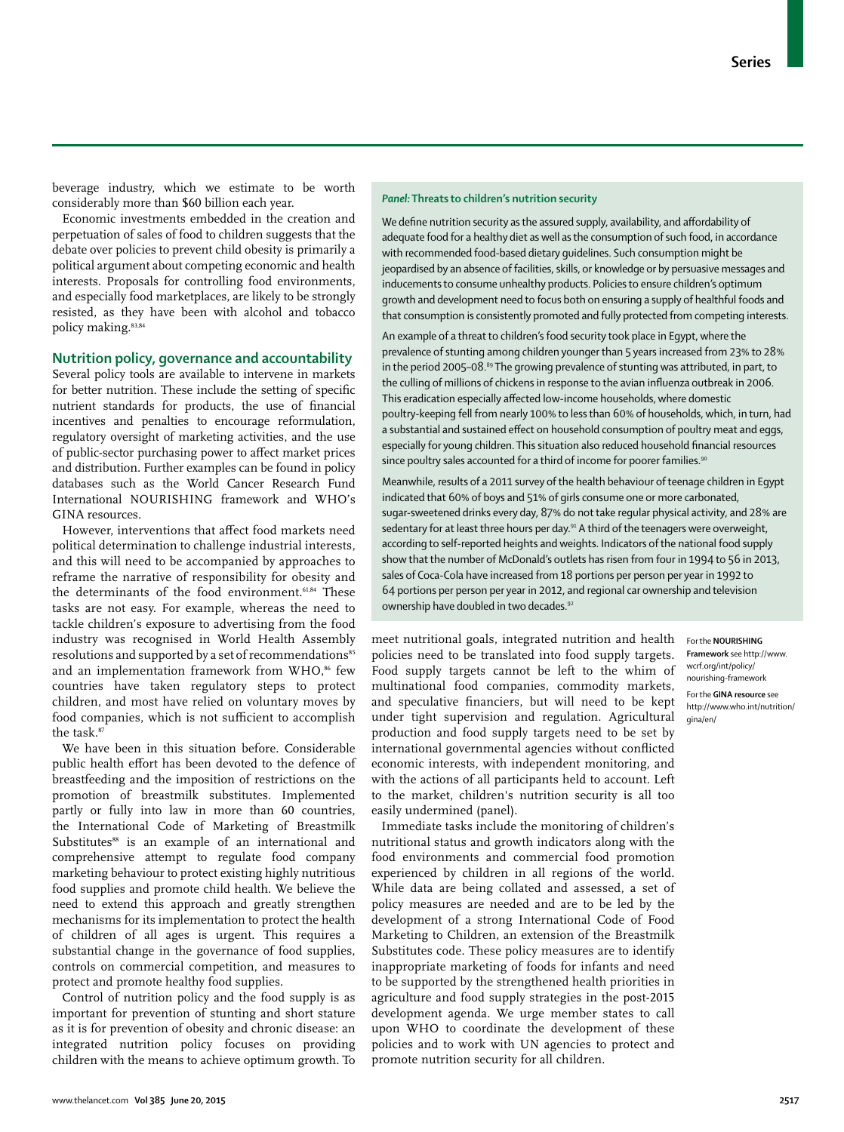beverage industry, which we estimate to be worth considerably more than \$60 billion each year.

Economic investments embedded in the creation and perpetuation of sales of food to children suggests that the debate over policies to prevent child obesity is primarily a political argument about competing economic and health interests. Proposals for controlling food environments, and especially food marketplaces, are likely to be strongly resisted, as they have been with alcohol and tobacco policy making.<sup>83,84</sup>

## **Nutrition policy, governance and accountability**

Several policy tools are available to intervene in markets for better nutrition. These include the setting of specific nutrient standards for products, the use of financial incentives and penalties to encourage reformulation, regulatory oversight of marketing activities, and the use of public-sector purchasing power to affect market prices and distribution. Further examples can be found in policy databases such as the World Cancer Research Fund International NOURISHING framework and WHO's GINA resources.

However, interventions that affect food markets need political determination to challenge industrial interests, and this will need to be accompanied by approaches to reframe the narrative of responsibility for obesity and the determinants of the food environment.<sup>61,84</sup> These tasks are not easy. For example, whereas the need to tackle children's exposure to advertising from the food industry was recognised in World Health Assembly resolutions and supported by a set of recommendations<sup>85</sup> and an implementation framework from WHO,<sup>86</sup> few countries have taken regulatory steps to protect children, and most have relied on voluntary moves by food companies, which is not sufficient to accomplish the task.<sup>87</sup>

We have been in this situation before. Considerable public health effort has been devoted to the defence of breastfeeding and the imposition of restrictions on the promotion of breastmilk substitutes. Implemented partly or fully into law in more than 60 countries, the International Code of Marketing of Breastmilk Substitutes<sup>88</sup> is an example of an international and comprehensive attempt to regulate food company marketing behaviour to protect existing highly nutritious food supplies and promote child health. We believe the need to extend this approach and greatly strengthen mechanisms for its implementation to protect the health of children of all ages is urgent. This requires a substantial change in the governance of food supplies, controls on commercial competition, and measures to protect and promote healthy food supplies.

Control of nutrition policy and the food supply is as important for prevention of stunting and short stature as it is for prevention of obesity and chronic disease: an integrated nutrition policy focuses on providing children with the means to achieve optimum growth. To

## *Panel:* **Threats to children's nutrition security**

We define nutrition security as the assured supply, availability, and affordability of adequate food for a healthy diet as well as the consumption of such food, in accordance with recommended food-based dietary guidelines. Such consumption might be jeopardised by an absence of facilities, skills, or knowledge or by persuasive messages and inducements to consume unhealthy products. Policies to ensure children's optimum growth and development need to focus both on ensuring a supply of healthful foods and that consumption is consistently promoted and fully protected from competing interests.

An example of a threat to children's food security took place in Egypt, where the prevalence of stunting among children younger than 5 years increased from 23% to 28% in the period 2005–08.<sup>89</sup> The growing prevalence of stunting was attributed, in part, to the culling of millions of chickens in response to the avian influenza outbreak in 2006. This eradication especially affected low-income households, where domestic poultry-keeping fell from nearly 100% to less than 60% of households, which, in turn, had a substantial and sustained effect on household consumption of poultry meat and eggs, especially for young children. This situation also reduced household financial resources since poultry sales accounted for a third of income for poorer families.<sup>91</sup>

Meanwhile, results of a 2011 survey of the health behaviour of teenage children in Egypt indicated that 60% of boys and 51% of girls consume one or more carbonated, sugar-sweetened drinks every day, 87% do not take regular physical activity, and 28% are sedentary for at least three hours per day.<sup>91</sup> A third of the teenagers were overweight, according to self-reported heights and weights. Indicators of the national food supply show that the number of McDonald's outlets has risen from four in 1994 to 56 in 2013, sales of Coca-Cola have increased from 18 portions per person per year in 1992 to 64 portions per person per year in 2012, and regional car ownership and television ownership have doubled in two decades.<sup>92</sup>

meet nutritional goals, integrated nutrition and health policies need to be translated into food supply targets. Food supply targets cannot be left to the whim of multinational food companies, commodity markets, and speculative financiers, but will need to be kept under tight supervision and regulation. Agricultural production and food supply targets need to be set by international governmental agencies without conflicted economic interests, with independent monitoring, and with the actions of all participants held to account. Left to the market, children's nutrition security is all too easily undermined (panel).

Immediate tasks include the monitoring of children's nutritional status and growth indicators along with the food environments and commercial food promotion experienced by children in all regions of the world. While data are being collated and assessed, a set of policy measures are needed and are to be led by the development of a strong International Code of Food Marketing to Children, an extension of the Breastmilk Substitutes code. These policy measures are to identify inappropriate marketing of foods for infants and need to be supported by the strengthened health priorities in agriculture and food supply strategies in the post-2015 development agenda. We urge member states to call upon WHO to coordinate the development of these policies and to work with UN agencies to protect and promote nutrition security for all children.

#### For the **NOURISHING**

**Framework** see http://www. wcrf.org/int/policy/ nourishing-framework For the **GINA resource** see http://www.who.int/nutrition/ gina/en/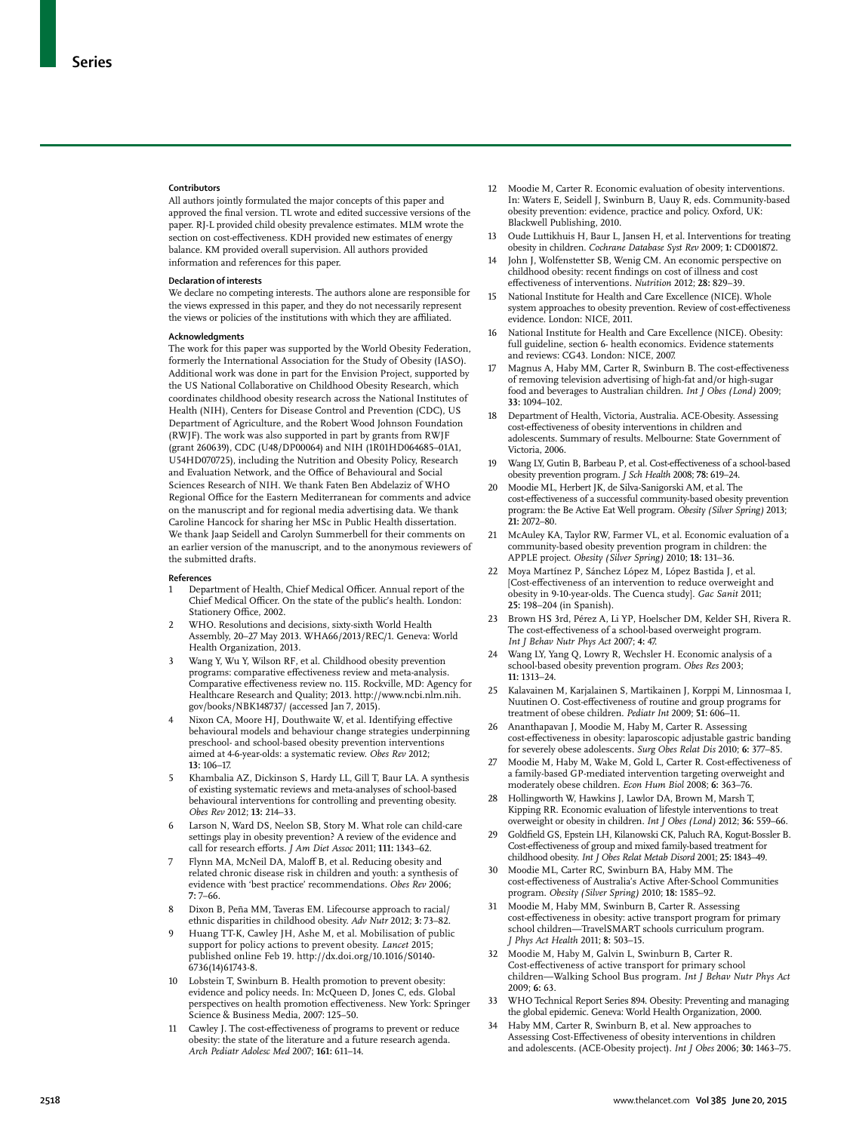#### **Contributors**

All authors jointly formulated the major concepts of this paper and approved the final version. TL wrote and edited successive versions of the paper. RJ-L provided child obesity prevalence estimates. MLM wrote the section on cost-effectiveness. KDH provided new estimates of energy balance. KM provided overall supervision. All authors provided information and references for this paper.

#### **Declaration of interests**

We declare no competing interests. The authors alone are responsible for the views expressed in this paper, and they do not necessarily represent the views or policies of the institutions with which they are affiliated.

#### **Acknowledgments**

The work for this paper was supported by the World Obesity Federation, formerly the International Association for the Study of Obesity (IASO). Additional work was done in part for the Envision Project, supported by the US National Collaborative on Childhood Obesity Research, which coordinates childhood obesity research across the National Institutes of Health (NIH), Centers for Disease Control and Prevention (CDC), US Department of Agriculture, and the Robert Wood Johnson Foundation (RWJF). The work was also supported in part by grants from RWJF (grant 260639), CDC (U48/DP00064) and NIH (1R01HD064685–01A1, U54HD070725), including the Nutrition and Obesity Policy, Research and Evaluation Network, and the Office of Behavioural and Social Sciences Research of NIH. We thank Faten Ben Abdelaziz of WHO Regional Office for the Eastern Mediterranean for comments and advice on the manuscript and for regional media advertising data. We thank Caroline Hancock for sharing her MSc in Public Health dissertation. We thank Jaap Seidell and Carolyn Summerbell for their comments on an earlier version of the manuscript, and to the anonymous reviewers of the submitted drafts.

#### **References**

- 1 Department of Health, Chief Medical Officer. Annual report of the Chief Medical Officer. On the state of the public's health. London: Stationery Office, 2002.
- 2 WHO. Resolutions and decisions, sixty-sixth World Health Assembly, 20–27 May 2013. WHA66/2013/REC/1. Geneva: World Health Organization, 2013.
- 3 Wang Y, Wu Y, Wilson RF, et al. Childhood obesity prevention programs: comparative effectiveness review and meta-analysis. Comparative effectiveness review no. 115. Rockville, MD: Agency for Healthcare Research and Quality; 2013. http://www.ncbi.nlm.nih. gov/books/NBK148737/ (accessed Jan 7, 2015).
- Nixon CA, Moore HJ, Douthwaite W, et al. Identifying effective behavioural models and behaviour change strategies underpinning preschool- and school-based obesity prevention interventions aimed at 4-6-year-olds: a systematic review. *Obes Rev* 2012; **13:** 106–17.
- 5 Khambalia AZ, Dickinson S, Hardy LL, Gill T, Baur LA. A synthesis of existing systematic reviews and meta-analyses of school-based behavioural interventions for controlling and preventing obesity. *Obes Rev* 2012; **13:** 214–33.
- Larson N, Ward DS, Neelon SB, Story M. What role can child-care settings play in obesity prevention? A review of the evidence and call for research efforts. *J Am Diet Assoc* 2011; 111: 1343-62.
- Flynn MA, McNeil DA, Maloff B, et al. Reducing obesity and related chronic disease risk in children and youth: a synthesis of evidence with 'best practice' recommendations. *Obes Rev* 2006; **7:** 7–66.
- 8 Dixon B, Peña MM, Taveras EM. Lifecourse approach to racial/ ethnic disparities in childhood obesity. *Adv Nutr* 2012; **3:** 73–82.
- 9 Huang TT-K, Cawley JH, Ashe M, et al. Mobilisation of public support for policy actions to prevent obesity. *Lancet* 2015; published online Feb 19. http://dx.doi.org/10.1016/S0140- 6736(14)61743-8.
- 10 Lobstein T, Swinburn B. Health promotion to prevent obesity: evidence and policy needs. In: McQueen D, Jones C, eds. Global perspectives on health promotion effectiveness. New York: Springer Science & Business Media, 2007: 125–50.
- 11 Cawley J. The cost-effectiveness of programs to prevent or reduce obesity: the state of the literature and a future research agenda. *Arch Pediatr Adolesc Med* 2007; **161:** 611–14.
- 12 Moodie M, Carter R. Economic evaluation of obesity interventions. In: Waters E, Seidell J, Swinburn B, Uauy R, eds. Community-based obesity prevention: evidence, practice and policy. Oxford, UK: Blackwell Publishing, 2010.
- 13 Oude Luttikhuis H, Baur L, Jansen H, et al. Interventions for treating obesity in children. *Cochrane Database Syst Rev* 2009; **1:** CD001872.
- 14 John J, Wolfenstetter SB, Wenig CM. An economic perspective on childhood obesity: recent findings on cost of illness and cost effectiveness of interventions. *Nutrition* 2012; 28: 829-39.
- 15 National Institute for Health and Care Excellence (NICE). Whole system approaches to obesity prevention. Review of cost-effectiveness evidence. London: NICE, 2011.
- 16 National Institute for Health and Care Excellence (NICE). Obesity: full guideline, section 6- health economics. Evidence statements and reviews: CG43. London: NICE, 2007.
- Magnus A, Haby MM, Carter R, Swinburn B. The cost-effectiveness of removing television advertising of high-fat and/or high-sugar food and beverages to Australian children. *Int J Obes (Lond)* 2009; **33:** 1094–102.
- 18 Department of Health, Victoria, Australia. ACE-Obesity. Assessing cost-eff ectiveness of obesity interventions in children and adolescents. Summary of results. Melbourne: State Government of Victoria, 2006.
- 19 Wang LY, Gutin B, Barbeau P, et al. Cost-effectiveness of a school-based obesity prevention program. *J Sch Health* 2008; **78:** 619–24.
- 20 Moodie ML, Herbert JK, de Silva-Sanigorski AM, et al. The cost-effectiveness of a successful community-based obesity prevention program: the Be Active Eat Well program. *Obesity (Silver Spring)* 2013; **21:** 2072–80.
- 21 McAuley KA, Taylor RW, Farmer VL, et al. Economic evaluation of a community-based obesity prevention program in children: the APPLE project. *Obesity (Silver Spring)* 2010; **18:** 131–36.
- 22 Moya Martínez P, Sánchez López M, López Bastida J, et al. [Cost-eff ectiveness of an intervention to reduce overweight and obesity in 9-10-year-olds. The Cuenca study]. *Gac Sanit* 2011; **25:** 198–204 (in Spanish).
- 23 Brown HS 3rd, Pérez A, Li YP, Hoelscher DM, Kelder SH, Rivera R. The cost-effectiveness of a school-based overweight program. *Int J Behav Nutr Phys Act* 2007; **4:** 47.
- 24 Wang LY, Yang Q, Lowry R, Wechsler H. Economic analysis of a school-based obesity prevention program. *Obes Res* 2003; **11:** 1313–24.
- 25 Kalavainen M, Karjalainen S, Martikainen J, Korppi M, Linnosmaa I, Nuutinen O. Cost-effectiveness of routine and group programs for treatment of obese children. *Pediatr Int* 2009; **51:** 606–11.
- 26 Ananthapavan J, Moodie M, Haby M, Carter R. Assessing cost-effectiveness in obesity: laparoscopic adjustable gastric banding for severely obese adolescents. *Surg Obes Relat Dis* 2010; **6:** 377–85.
- Moodie M, Haby M, Wake M, Gold L, Carter R. Cost-effectiveness of a family-based GP-mediated intervention targeting overweight and moderately obese children. *Econ Hum Biol* 2008; **6:** 363–76.
- 28 Hollingworth W, Hawkins J, Lawlor DA, Brown M, Marsh T, Kipping RR. Economic evaluation of lifestyle interventions to treat overweight or obesity in children. *Int J Obes (Lond)* 2012; **36:** 559–66.
- 29 Goldfield GS, Epstein LH, Kilanowski CK, Paluch RA, Kogut-Bossler B. Cost-eff ectiveness of group and mixed family-based treatment for childhood obesity. *Int J Obes Relat Metab Disord* 2001; **25:** 1843–49.
- 30 Moodie ML, Carter RC, Swinburn BA, Haby MM. The cost-effectiveness of Australia's Active After-School Communities program. *Obesity (Silver Spring)* 2010; **18:** 1585–92.
- 31 Moodie M, Haby MM, Swinburn B, Carter R. Assessing cost-effectiveness in obesity: active transport program for primary school children—TravelSMART schools curriculum program. *J Phys Act Health* 2011; **8:** 503–15.
- 32 Moodie M, Haby M, Galvin L, Swinburn B, Carter R. Cost-effectiveness of active transport for primary school children—Walking School Bus program. *Int J Behav Nutr Phys Act* 2009; **6:** 63.
- 33 WHO Technical Report Series 894. Obesity: Preventing and managing the global epidemic. Geneva: World Health Organization, 2000.
- 34 Haby MM, Carter R, Swinburn B, et al. New approaches to Assessing Cost-Effectiveness of obesity interventions in children and adolescents. (ACE-Obesity project). *Int J Obes* 2006; **30:** 1463–75.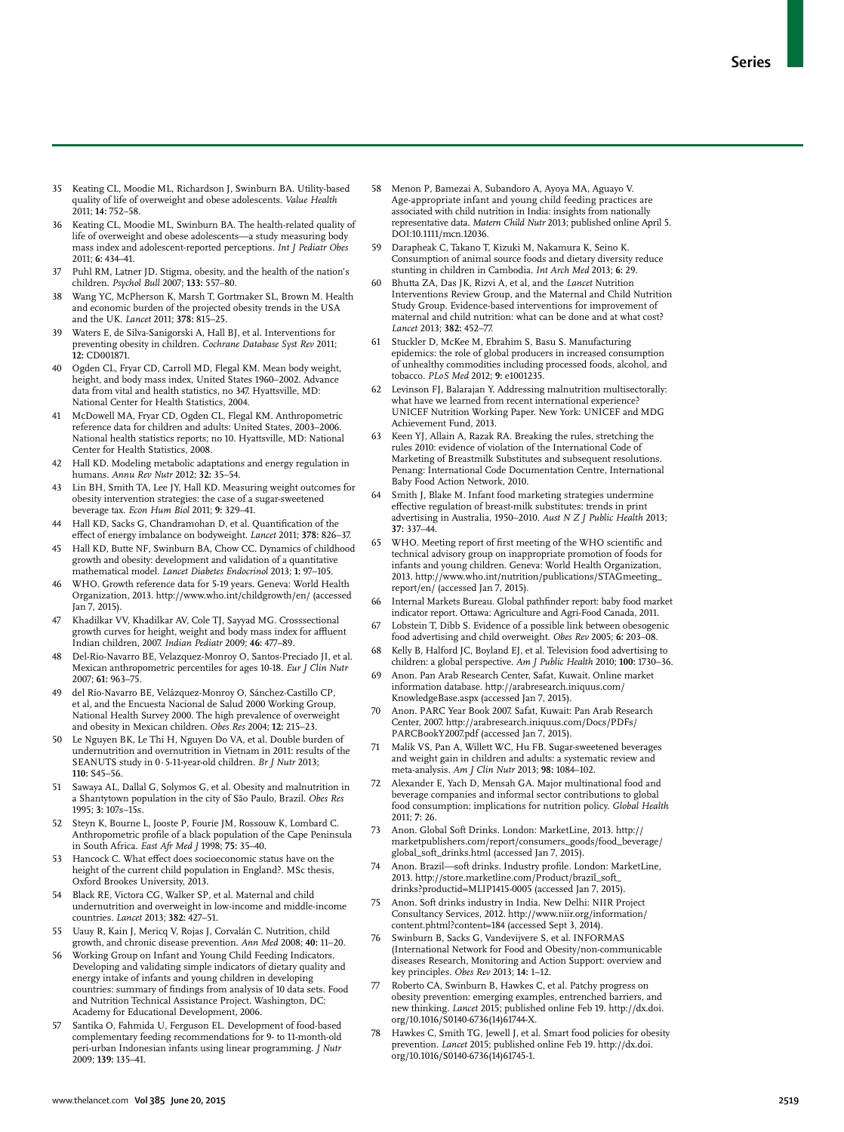- 35 Keating CL, Moodie ML, Richardson J, Swinburn BA. Utility-based quality of life of overweight and obese adolescents. *Value Health* 2011; **14:** 752–58.
- Keating CL, Moodie ML, Swinburn BA. The health-related quality of life of overweight and obese adolescents—a study measuring body mass index and adolescent-reported perceptions. *Int J Pediatr Obes* 2011; **6:** 434–41.
- 37 Puhl RM, Latner JD. Stigma, obesity, and the health of the nation's children. *Psychol Bull* 2007; **133:** 557–80.
- 38 Wang YC, McPherson K, Marsh T, Gortmaker SL, Brown M. Health and economic burden of the projected obesity trends in the USA and the UK. *Lancet* 2011; **378:** 815–25.
- 39 Waters E, de Silva-Sanigorski A, Hall BJ, et al. Interventions for preventing obesity in children. *Cochrane Database Syst Rev* 2011; **12:** CD001871.
- 40 Ogden CL, Fryar CD, Carroll MD, Flegal KM. Mean body weight, height, and body mass index, United States 1960–2002. Advance data from vital and health statistics, no 347. Hyattsville, MD: National Center for Health Statistics, 2004.
- 41 McDowell MA, Fryar CD, Ogden CL, Flegal KM. Anthropometric reference data for children and adults: United States, 2003–2006. National health statistics reports; no 10. Hyattsville, MD: National Center for Health Statistics, 2008.
- 42 Hall KD. Modeling metabolic adaptations and energy regulation in humans. *Annu Rev Nutr* 2012; **32:** 35–54.
- 43 Lin BH, Smith TA, Lee JY, Hall KD. Measuring weight outcomes for obesity intervention strategies: the case of a sugar-sweetened beverage tax. *Econ Hum Biol* 2011; **9:** 329–41.
- Hall KD, Sacks G, Chandramohan D, et al. Quantification of the eff ect of energy imbalance on bodyweight. *Lancet* 2011; **378:** 826–37.
- 45 Hall KD, Butte NF, Swinburn BA, Chow CC. Dynamics of childhood growth and obesity: development and validation of a quantitative mathematical model. *Lancet Diabetes Endocrinol* 2013; **1:** 97–105.
- 46 WHO. Growth reference data for 5-19 years. Geneva: World Health Organization, 2013. http://www.who.int/childgrowth/en/ (accessed Jan 7, 2015).
- 47 Khadilkar VV, Khadilkar AV, Cole TJ, Sayyad MG. Crosssectional growth curves for height, weight and body mass index for affluent Indian children, 2007. *Indian Pediatr* 2009; **46:** 477–89.
- 48 Del-Rio-Navarro BE, Velazquez-Monroy O, Santos-Preciado JI, et al. Mexican anthropometric percentiles for ages 10-18. *Eur J Clin Nutr* 2007; **61:** 963–75.
- 49 del Río-Navarro BE, Velázquez-Monroy O, Sánchez-Castillo CP, et al, and the Encuesta Nacional de Salud 2000 Working Group, National Health Survey 2000. The high prevalence of overweight and obesity in Mexican children. *Obes Res* 2004; **12:** 215–23.
- 50 Le Nguyen BK, Le Thi H, Nguyen Do VA, et al. Double burden of undernutrition and overnutrition in Vietnam in 2011: results of the SEANUTS study in 0·5-11-year-old children. *Br J Nutr* 2013; **110:** S45–56.
- 51 Sawaya AL, Dallal G, Solymos G, et al. Obesity and malnutrition in a Shantytown population in the city of São Paulo, Brazil. *Obes Res* 1995; **3:** 107s–15s.
- 52 Steyn K, Bourne L, Jooste P, Fourie JM, Rossouw K, Lombard C. Anthropometric profile of a black population of the Cape Peninsula in South Africa. *East Afr Med J* 1998; **75:** 35–40.
- 53 Hancock C. What effect does socioeconomic status have on the height of the current child population in England?. MSc thesis, Oxford Brookes University, 2013.
- 54 Black RE, Victora CG, Walker SP, et al. Maternal and child undernutrition and overweight in low-income and middle-income countries. *Lancet* 2013; **382:** 427–51.
- 55 Uauy R, Kain J, Mericq V, Rojas J, Corvalán C. Nutrition, child growth, and chronic disease prevention. *Ann Med* 2008; **40:** 11–20.
- 56 Working Group on Infant and Young Child Feeding Indicators. Developing and validating simple indicators of dietary quality and energy intake of infants and young children in developing countries: summary of findings from analysis of 10 data sets. Food and Nutrition Technical Assistance Project. Washington, DC: Academy for Educational Development, 2006.
- 57 Santika O, Fahmida U, Ferguson EL. Development of food-based complementary feeding recommendations for 9- to 11-month-old peri-urban Indonesian infants using linear programming. *J Nutr* 2009; **139:** 135–41.
- 58 Menon P, Bamezai A, Subandoro A, Ayoya MA, Aguayo V. Age-appropriate infant and young child feeding practices are associated with child nutrition in India: insights from nationally representative data. *Matern Child Nutr* 2013; published online April 5. DOI:10.1111/mcn.12036.
- 59 Darapheak C, Takano T, Kizuki M, Nakamura K, Seino K. Consumption of animal source foods and dietary diversity reduce stunting in children in Cambodia. *Int Arch Med* 2013; **6:** 29.
- 60 Bhutta ZA, Das JK, Rizvi A, et al, and the *Lancet* Nutrition Interventions Review Group, and the Maternal and Child Nutrition Study Group. Evidence-based interventions for improvement of maternal and child nutrition: what can be done and at what cost? *Lancet* 2013; **382:** 452–77.
- 61 Stuckler D, McKee M, Ebrahim S, Basu S. Manufacturing epidemics: the role of global producers in increased consumption of unhealthy commodities including processed foods, alcohol, and tobacco. *PLoS Med* 2012; **9:** e1001235.
- Levinson FJ, Balarajan Y. Addressing malnutrition multisectorally: what have we learned from recent international experience? UNICEF Nutrition Working Paper. New York: UNICEF and MDG Achievement Fund, 2013.
- 63 Keen YJ, Allain A, Razak RA. Breaking the rules, stretching the rules 2010: evidence of violation of the International Code of Marketing of Breastmilk Substitutes and subsequent resolutions. Penang: International Code Documentation Centre, International Baby Food Action Network, 2010.
- Smith J, Blake M. Infant food marketing strategies undermine effective regulation of breast-milk substitutes: trends in print advertising in Australia, 1950–2010. *Aust N Z J Public Health* 2013; **37:** 337–44.
- 65 WHO. Meeting report of first meeting of the WHO scientific and technical advisory group on inappropriate promotion of foods for infants and young children. Geneva: World Health Organization, 2013. http://www.who.int/nutrition/publications/STAGmeeting\_ report/en/ (accessed Jan 7, 2015).
- 66 Internal Markets Bureau. Global pathfinder report: baby food market indicator report. Ottawa: Agriculture and Agri-Food Canada, 2011.
- Lobstein T, Dibb S. Evidence of a possible link between obesogenic food advertising and child overweight. *Obes Rev* 2005; **6:** 203–08.
- 68 Kelly B, Halford JC, Boyland EJ, et al. Television food advertising to children: a global perspective. *Am J Public Health* 2010; **100:** 1730–36.
- 69 Anon. Pan Arab Research Center, Safat, Kuwait. Online market information database. http://arabresearch.iniquus.com/ KnowledgeBase.aspx (accessed Jan 7, 2015).
- 70 Anon. PARC Year Book 2007. Safat, Kuwait: Pan Arab Research Center, 2007. http://arabresearch.iniquus.com/Docs/PDFs/ PARCBookY2007.pdf (accessed Jan 7, 2015).
- 71 Malik VS, Pan A, Willett WC, Hu FB. Sugar-sweetened beverages and weight gain in children and adults: a systematic review and meta-analysis. *Am J Clin Nutr* 2013; **98:** 1084–102.
- Alexander E, Yach D, Mensah GA. Major multinational food and beverage companies and informal sector contributions to global food consumption: implications for nutrition policy. *Global Health* 2011; **7:** 26.
- 73 Anon. Global Soft Drinks. London: MarketLine, 2013. http:// marketpublishers.com/report/consumers\_goods/food\_beverage/ global\_soft\_drinks.html (accessed Jan 7, 2015).
- 74 Anon. Brazil—soft drinks. Industry profile. London: MarketLine, 2013. http://store.marketline.com/Product/brazil\_soft\_ drinks?productid=MLIP1415-0005 (accessed Jan 7, 2015).
- 75 Anon. Soft drinks industry in India. New Delhi: NIIR Project Consultancy Services, 2012. http://www.niir.org/information/ content.phtml?content=184 (accessed Sept 3, 2014).
- Swinburn B, Sacks G, Vandevijvere S, et al. INFORMAS (International Network for Food and Obesity/non-communicable diseases Research, Monitoring and Action Support: overview and key principles. *Obes Rev* 2013; **14:** 1–12.
- Roberto CA, Swinburn B, Hawkes C, et al. Patchy progress on obesity prevention: emerging examples, entrenched barriers, and new thinking. *Lancet* 2015; published online Feb 19. http://dx.doi. org/10.1016/S0140-6736(14)61744-X.
- Hawkes C, Smith TG, Jewell J, et al. Smart food policies for obesity prevention. *Lancet* 2015; published online Feb 19. http://dx.doi. org/10.1016/S0140-6736(14)61745-1.